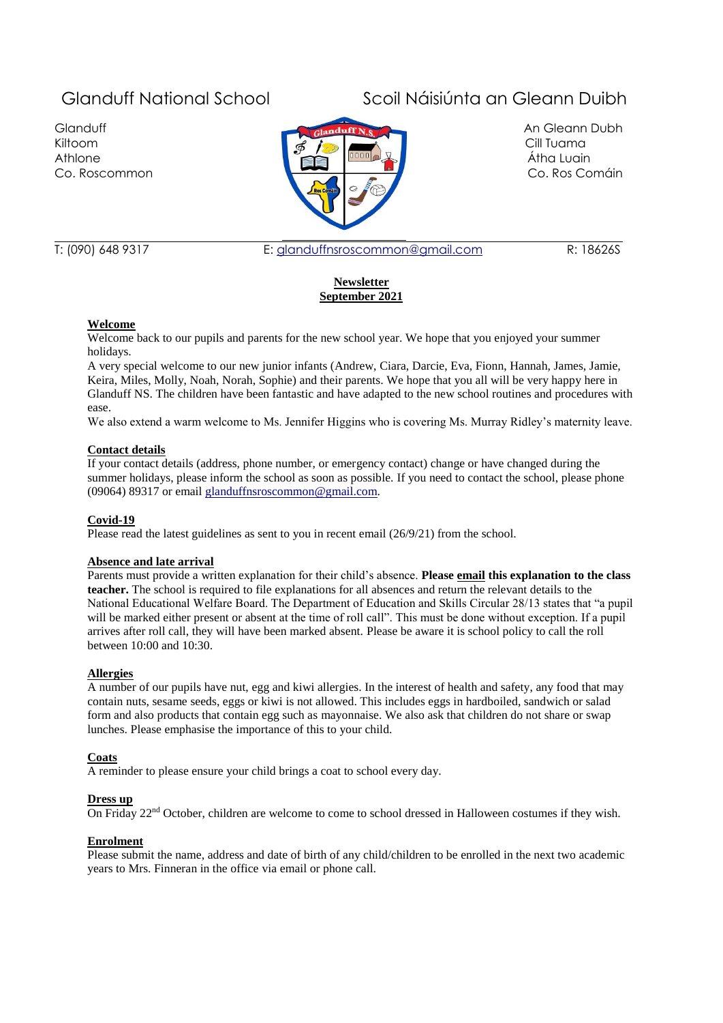**Glanduff** Kiltoom Athlone Co. Roscommon



# Glanduff National School Scoil Náisiúnta an Gleann Duibh

An Gleann Dubh Cill Tuama Átha Luain Co. Ros Comáin

T: (090) 648 9317 E: [glanduffnsroscommon@gmail.com](mailto:glanduffnsroscommon@gmail.com) R: 18626S

# **Newsletter September 2021**

# **Welcome**

Welcome back to our pupils and parents for the new school year. We hope that you enjoyed your summer holidays.

A very special welcome to our new junior infants (Andrew, Ciara, Darcie, Eva, Fionn, Hannah, James, Jamie, Keira, Miles, Molly, Noah, Norah, Sophie) and their parents. We hope that you all will be very happy here in Glanduff NS. The children have been fantastic and have adapted to the new school routines and procedures with ease.

We also extend a warm welcome to Ms. Jennifer Higgins who is covering Ms. Murray Ridley's maternity leave.

# **Contact details**

If your contact details (address, phone number, or emergency contact) change or have changed during the summer holidays, please inform the school as soon as possible. If you need to contact the school, please phone (09064) 89317 or email [glanduffnsroscommon@gmail.com.](mailto:glanduffnsroscommon@gmail.com)

# **Covid-19**

Please read the latest guidelines as sent to you in recent email (26/9/21) from the school.

# **Absence and late arrival**

Parents must provide a written explanation for their child's absence. **Please email this explanation to the class teacher.** The school is required to file explanations for all absences and return the relevant details to the National Educational Welfare Board. The Department of Education and Skills Circular 28/13 states that "a pupil will be marked either present or absent at the time of roll call". This must be done without exception. If a pupil arrives after roll call, they will have been marked absent. Please be aware it is school policy to call the roll between 10:00 and 10:30.

# **Allergies**

A number of our pupils have nut, egg and kiwi allergies. In the interest of health and safety, any food that may contain nuts, sesame seeds, eggs or kiwi is not allowed. This includes eggs in hardboiled, sandwich or salad form and also products that contain egg such as mayonnaise. We also ask that children do not share or swap lunches. Please emphasise the importance of this to your child.

# **Coats**

A reminder to please ensure your child brings a coat to school every day.

#### **Dress up**

On Friday 22<sup>nd</sup> October, children are welcome to come to school dressed in Halloween costumes if they wish.

#### **Enrolment**

Please submit the name, address and date of birth of any child/children to be enrolled in the next two academic years to Mrs. Finneran in the office via email or phone call.